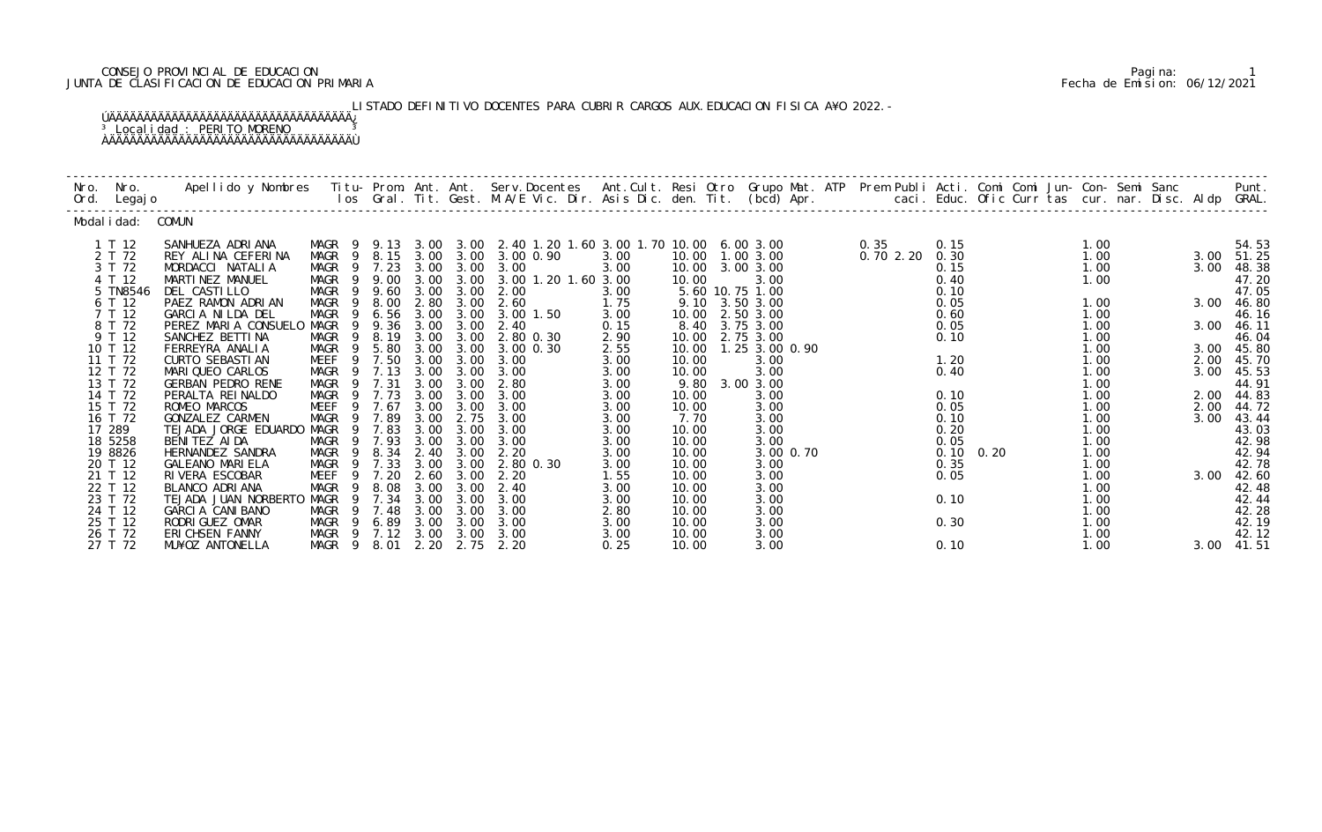## CONSEJO PROVINCIAL DE EDUCACION Pagina: 1 JUNTA DE CLASIFICACION DE EDUCACION PRIMARIA Fecha de Emision: 06/12/2021

LISTADO DEFINITIVO DOCENTES PARA CUBRIR CARGOS AUX. EDUCACION FISICA A¥O 2022.- ÚÄÄÄÄÄÄÄÄÄÄÄÄÄÄÄÄÄÄÄÄÄÄÄÄÄÄÄÄÄÄÄÄÄÄÄ¿ <sup>3</sup> Localidad : PERITO MORENO <sup>3</sup>

ÀÄÄÄÄÄÄÄÄÄÄÄÄÄÄÄÄÄÄÄÄÄÄÄÄÄÄÄÄÄÄÄÄÄÄÄÙ

| Nro.<br>Ord. | Nro.<br>Legaj o    | Apellido y Nombres - Titu- Prom. Ant. Ant. Serv.Docentes - Ant.Cult. Resi Otro Grupo Mat. ATP - Prem Publi Acti. Comi Comi Jun- Con- Semi Sanc - Semi Sanc - Semi Sanc - Semi Sanc - Semi Sanc - Semi Sanc - Semi Sanc - Semi |                               |                |              |              |                                                    |              |                |                                |          |              | caci. Educ. Ofic Curr tas cur. nar. Disc. Aldp GRAL. |              |              | Punt.          |
|--------------|--------------------|-------------------------------------------------------------------------------------------------------------------------------------------------------------------------------------------------------------------------------|-------------------------------|----------------|--------------|--------------|----------------------------------------------------|--------------|----------------|--------------------------------|----------|--------------|------------------------------------------------------|--------------|--------------|----------------|
|              | Modal i dad:       | COMUN                                                                                                                                                                                                                         |                               |                |              |              |                                                    |              |                |                                |          |              |                                                      |              |              |                |
|              | 1 T 12             | SANHUEZA ADRIANA                                                                                                                                                                                                              | MAGR<br>$\overline{9}$        | 9.13           |              |              | 3.00 3.00 2.40 1.20 1.60 3.00 1.70 10.00 6.00 3.00 |              |                |                                | 0.35     | 0.15         |                                                      | 1.00         |              | 54.53          |
|              | 2 T 72<br>3 T 72   | REY ALINA CEFERINA<br>MORDACCI NATALIA                                                                                                                                                                                        | MAGR<br>- 9<br>MAGR           | 8.15<br>9 7.23 | 3.00<br>3.00 | 3.00<br>3.00 | 3.00 0.90<br>3.00                                  | 3.00<br>3.00 | 10.00          | 10.00  1.00  3.00<br>3.00 3.00 | 0.702.20 | 0.30<br>0.15 |                                                      | 1.00<br>1.00 | 3.00<br>3.00 | 51.25<br>48.38 |
|              | 4 T 12             | MARTINEZ MANUEL                                                                                                                                                                                                               | MAGR<br>- 9                   | 9.00           | 3.00         | 3.00         | 3.00 1.20 1.60 3.00                                |              | 10.00          | 3.00                           |          | 0.40         |                                                      | 1.00         |              | 47.20          |
|              | 5 TN8546<br>6 T 12 | DEL CASTILLO<br>PAEZ RAMON ADRIAN                                                                                                                                                                                             | <b>MAGR</b><br>MAGR<br>-9     | 9 9.60<br>8.00 | 3.00<br>2.80 | 3.00<br>3.00 | 2.00<br>2.60                                       | 3.00<br>1.75 | 9.10           | 5.60 10.75 1.00<br>3.50 3.00   |          | 0.10<br>0.05 |                                                      | 1.00         | 3.00         | 47.05<br>46.80 |
|              | 7 T 12             | GARCIA NILDA DEL                                                                                                                                                                                                              | <b>MAGR</b><br>-9             | 6.56           | 3.00         | 3.00         | 3.00 1.50                                          | 3.00         | 10.00          | 2.50 3.00                      |          | 0.60         |                                                      | 1.00         |              | 46.16          |
|              | 8 T 72<br>9 T 12   | PEREZ MARIA CONSUELO<br>SANCHEZ BETTINA                                                                                                                                                                                       | MAGR<br>9<br>MAGR<br>-9       | 9.36<br>8.19   | 3.00<br>3.00 | 3.00<br>3.00 | 2.40<br>2.80 0.30                                  | 0.15<br>2.90 | 8.40<br>10.00  | 3.75 3.00<br>2.75 3.00         |          | 0.05<br>0.10 |                                                      | 1.00<br>1.00 | 3.00         | 46.11<br>46.04 |
|              | 10 T 12            | FERREYRA ANALIA                                                                                                                                                                                                               | MAGR<br>- 9                   | 5.80           | 3.00         | 3.00         | 3.00 0.30                                          | 2.55         | 10.00          | 1.25 3.00 0.90                 |          |              |                                                      | 1.00         | 3.00         | 45.80          |
|              | 11 T 72<br>12 T 72 | <b>CURTO SEBASTIAN</b><br>MARIQUEO CARLOS                                                                                                                                                                                     | MEEF<br>9<br>MAGR<br>9        | 7.50<br>7.13   | 3.00<br>3.00 | 3.00<br>3.00 | 3.00<br>3.00                                       | 3.00<br>3.00 | 10.00<br>10.00 | 3.00<br>3.00                   |          | 1.20<br>0.40 |                                                      | 1.00<br>1.00 | 2.00<br>3.00 | 45.70<br>45.53 |
|              | 13 T 72            | <b>GERBAN PEDRO RENE</b>                                                                                                                                                                                                      | MAGR<br>-9                    | 7.31           | 3.00         | 3.00         | 2.80                                               | 3.00         | 9.80           | 3.00 3.00                      |          |              |                                                      | 1.00         |              | 44.91          |
|              | 14 T 72<br>15 T 72 | PERALTA REINALDO<br>ROMEO MARCOS                                                                                                                                                                                              | MAGR<br>9<br><b>MEEF</b><br>9 | 7.73<br>7.67   | 3.00<br>3.00 | 3.00<br>3.00 | 3.00<br>3.00                                       | 3.00<br>3.00 | 10.00<br>10.00 | 3.00<br>3.00                   |          | 0.10<br>0.05 |                                                      | 1.00<br>1.00 | 2.00<br>2.00 | 44.83<br>44.72 |
|              | 16 T 72            | GONZALEZ CARMEN                                                                                                                                                                                                               | MAGR<br>9                     | 7.89           | 3.00         | 2.75         | 3.00                                               | 3.00         | 7.70           | 3.00                           |          | 0.10         |                                                      | 1.00         | 3.00         | 43.44          |
|              | 17 289<br>18 5258  | TEJADA JORGE EDUARDO<br>BENITEZ AIDA                                                                                                                                                                                          | MAGR<br>-9<br>MAGR            | 7.83<br>9 7.93 | 3.00<br>3.00 | 3.00<br>3.00 | 3.00<br>3.00                                       | 3.00<br>3.00 | 10.00<br>10.00 | 3.00<br>3.00                   |          | 0.20<br>0.05 |                                                      | 1.00<br>1.00 |              | 43.03<br>42.98 |
|              | 19 8826            | HERNANDEZ SANDRA                                                                                                                                                                                                              | MAGR<br>-9                    | 8.34           | 2.40         | 3.00         | 2.20                                               | 3.00         | 10.00          | 3.00 0.70                      |          |              | $0.10 \quad 0.20$                                    | 1.00         |              | 42.94          |
|              | 20 T 12<br>21 T 12 | <b>GALEANO MARIELA</b><br>RIVERA ESCOBAR                                                                                                                                                                                      | MAGR<br>MEEF<br>9             | 7.33<br>7.20   | 3.00<br>2.60 | 3.00<br>3.00 | 2.80 0.30<br>2.20                                  | 3.00<br>1.55 | 10.00<br>10.00 | 3.00<br>3.00                   |          | 0.35<br>0.05 |                                                      | 1.00<br>1.00 | 3.00         | 42.78<br>42.60 |
|              | 22 T 12            | BLANCO ADRIANA                                                                                                                                                                                                                | MAGR<br>9                     | 8.08           | 3.00         | 3.00         | 2.40                                               | 3.00         | 10.00          | 3.00                           |          |              |                                                      | 1.00         |              | 42.48          |
|              | 23 T 72<br>24 T 12 | TEJADA JUAN NORBERTO<br>GARCIA CANIBANO                                                                                                                                                                                       | MAGR<br>9<br>MAGR<br>-9       | 7.34<br>7.48   | 3.00<br>3.00 | 3.00<br>3.00 | 3.00<br>3.00                                       | 3.00<br>2.80 | 10.00<br>10.00 | 3.00<br>3.00                   |          | 0.10         |                                                      | 1.00<br>1.00 |              | 42.44<br>42.28 |
|              | 25 T 12            | RODRI GUEZ OMAR                                                                                                                                                                                                               | MAGR<br>- 9                   | 6.89           | 3.00         | 3.00         | 3.00                                               | 3.00         | 10.00          | 3.00                           |          | 0.30         |                                                      | 1.00         |              | 42.19          |
|              | 26 T 72<br>27 T 72 | ERICHSEN FANNY<br>MU¥OZ ANTONELLA                                                                                                                                                                                             | MAGR<br>MAGR 9 8.01           | 9 7.12         | 3.00<br>2.20 | 3.00<br>2.75 | 3.00<br>2.20                                       | 3.00<br>0.25 | 10.00<br>10.00 | 3.00<br>3.00                   |          | 0.10         |                                                      | 1.00<br>1.00 | 3.00         | 42.12<br>41.51 |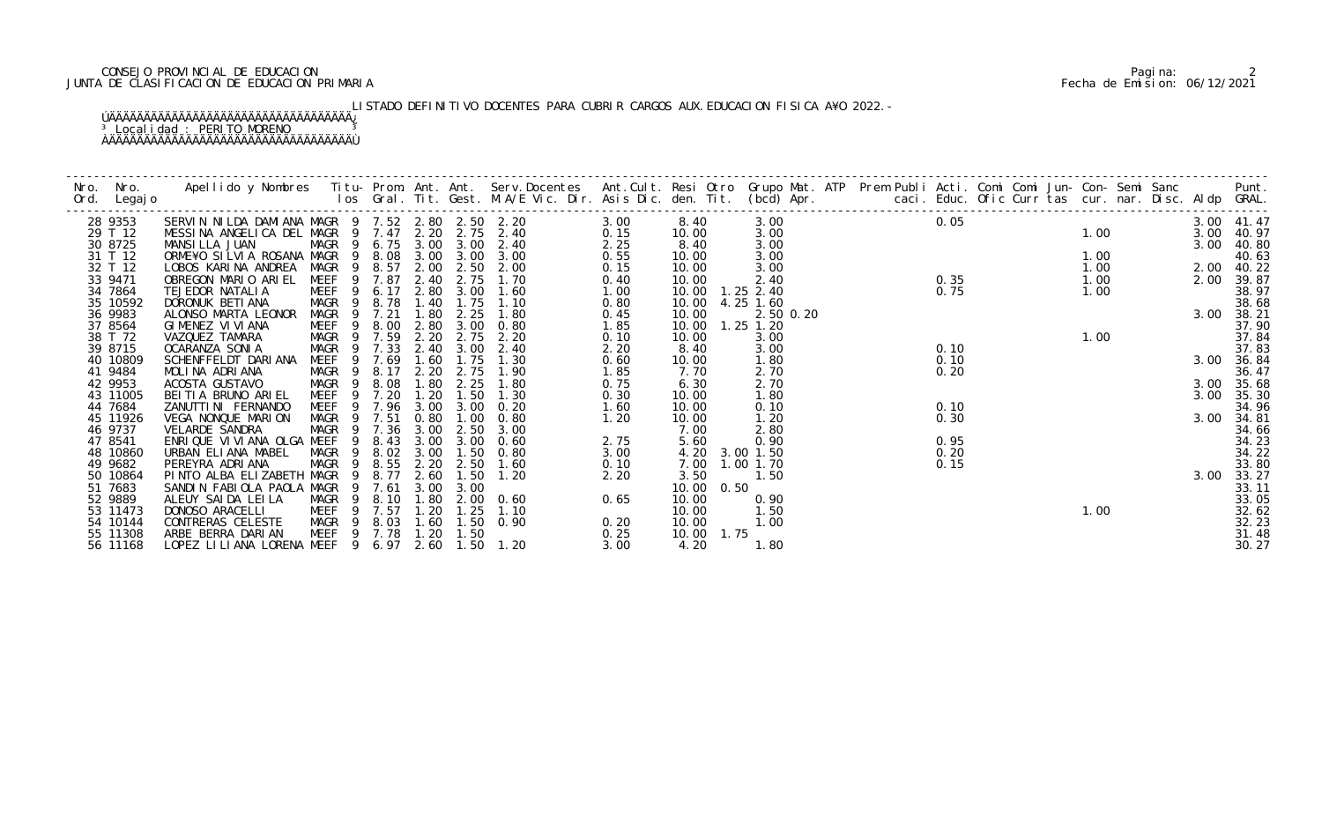## CONSEJO PROVINCIAL DE EDUCACION Pagina: 2 JUNTA DE CLASIFICACION DE EDUCACION PRIMARIA Fecha de Emision: 06/12/2021

# LISTADO DEFINITIVO DOCENTES PARA CUBRIR CARGOS AUX. EDUCACION FISICA A¥O 2022.-

### ÚÄÄÄÄÄÄÄÄÄÄÄÄÄÄÄÄÄÄÄÄÄÄÄÄÄÄÄÄÄÄÄÄÄÄÄ¿ <sup>3</sup> Localidad : PERITO MORENO <sup>3</sup> ÀÄÄÄÄÄÄÄÄÄÄÄÄÄÄÄÄÄÄÄÄÄÄÄÄÄÄÄÄÄÄÄÄÄÄÄÙ

| Nro. | Nro. In the Nro.    | Apellido y Nombres  Titu- Prom. Ant. Ant.  Serv.Docentes  Ant.Cult. Resi Otro  Grupo Mat. ATP  Prem Publi Acti. Comi Comi Jun- Con- Semi Sanc                Punt.<br>Ios Gral. Tit. Gest. M.A/E Vic. Dir. Asis Dic. den. Tit. (b |                           |                                |                  |              |                            |              |                |                   |           |                    |      |  |      |  |      |                |
|------|---------------------|-----------------------------------------------------------------------------------------------------------------------------------------------------------------------------------------------------------------------------------|---------------------------|--------------------------------|------------------|--------------|----------------------------|--------------|----------------|-------------------|-----------|--------------------|------|--|------|--|------|----------------|
|      | Ord. Legajo         |                                                                                                                                                                                                                                   |                           |                                |                  |              |                            |              |                |                   |           |                    |      |  |      |  |      |                |
|      |                     |                                                                                                                                                                                                                                   |                           |                                |                  |              |                            |              |                |                   |           |                    |      |  |      |  |      |                |
|      | 28 9353             | SERVIN NILDA DAMIANA MAGR 9 7.52 2.80 2.50 2.20                                                                                                                                                                                   |                           |                                |                  |              |                            | 3.00         | 8.40           |                   | 3.00      |                    | 0.05 |  |      |  |      | 3.00 41.47     |
|      | 29 T 12             | MESSINA ANGELICA DEL MAGR 9 7.47 2.20                                                                                                                                                                                             |                           |                                |                  |              | 2.75 2.40                  | 0.15         | 10.00          |                   | 3.00      | $\frac{1}{2}$ 0.35 |      |  | 1.00 |  |      | 3.00 40.97     |
|      | 30 8725             | MANSILLA JUAN                                                                                                                                                                                                                     |                           |                                | MAGR 9 6.75 3.00 | 3.00         | 2.40                       | 2.25         | 8.40           |                   | 3.00      |                    |      |  |      |  |      | 3.00 40.80     |
|      | 31 T 12             | ORME¥O SILVIA ROSANA MAGR 9 8.08                                                                                                                                                                                                  |                           |                                | 3.00             | 3.00         | 3.00                       | 0.55         | 10.00          |                   | 3.00      |                    |      |  | 1.00 |  |      | 40.63          |
|      | 32 T 12             | LOBOS KARINA ANDREA                                                                                                                                                                                                               | MAGR                      | 9 8.57                         | 2.00             | 2.50         | 2.00                       | 0.15         | 10.00          |                   | 3.00      |                    |      |  | 1.00 |  |      | 2.00 40.22     |
|      | 33 9471             | OBREGON MARIO ARIEL                                                                                                                                                                                                               | MEEF 9 7.87               |                                | 2.40             | 2.75         | 1.70                       | 0.40         | 10.00          |                   | 2.40      |                    |      |  | 1.00 |  |      | 2.00 39.87     |
|      | 34 7864             | TEJEDOR NATALIA                                                                                                                                                                                                                   | MEEF 9 6.17               |                                | 2.80             | 3.00<br>1.75 | 1.60                       | 1.00         |                | 10.00  1.25  2.40 |           |                    | 0.75 |  | 1.00 |  |      | 38.97          |
|      | 35 10592<br>36 9983 | DORONUK BETI ANA                                                                                                                                                                                                                  | MAGR <sub>9</sub><br>MAGR | 8.78<br>7.21<br>$\overline{9}$ | 1.40             | 2.25         | 1.10<br>1.80               | 0.80         | 10.00<br>10.00 | 4.25 1.60         |           |                    |      |  |      |  |      | 38.68          |
|      | 37 8564             | ALONSO MARTA LEONOR<br>GIMENEZ VI VI ANA                                                                                                                                                                                          | MEEF                      | - 9                            | 1.80             | 3.00         | 0.80                       | 0.45         | 10.00          | $1.25$ $1.20$     | 2.50 0.20 |                    |      |  |      |  |      | 3.00 38.21     |
|      | 38 T 72             | VAZQUEZ TAMARA                                                                                                                                                                                                                    | MAGR 9 7.59               | 8.00                           | 2.80<br>2.20     | 2.75         | 2.20                       | 1.85<br>0.10 | 10.00          |                   | 3.00      |                    |      |  | 1.00 |  |      | 37.90<br>37.84 |
|      | 39 8715             | OCARANZA SONIA                                                                                                                                                                                                                    | MAGR                      | 9 7.33                         | 2.40             | 3.00         | 2.40                       | 2.20         | 8.40           |                   | 3.00      |                    | 0.10 |  |      |  |      | 37.83          |
|      | 40 10809            | SCHENFFELDT DARIANA                                                                                                                                                                                                               | MEEF                      | 9 7.69                         | 1.60             | 1.75         | 1.30                       | 0.60         | 10.00          |                   | 1.80      |                    | 0.10 |  |      |  |      | 3.00 36.84     |
|      | 41 9484             | MOLINA ADRIANA                                                                                                                                                                                                                    | MAGR 9 8.17               |                                | 2.20             | 2.75         | 1.90                       | 1.85         | 7.70           |                   | 2.70      |                    | 0.20 |  |      |  |      | 36.47          |
|      | 42 9953             | ACOSTA GUSTAVO                                                                                                                                                                                                                    | MAGR 9 8.08               |                                | 1.80             | 2.25         | 1.80                       | 0.75         | 6.30           |                   | 2.70      |                    |      |  |      |  |      | 3.00 35.68     |
|      | 43 11005            | BEITIA BRUNO ARIEL                                                                                                                                                                                                                | MEEF                      | 7.20<br>- 9                    | 1.20             | 1.50         | 1.30                       | 0.30         | 10.00          |                   | 1.80      |                    |      |  |      |  | 3.00 | 35.30          |
|      | 44 7684             | ZANUTTI NI FERNANDO                                                                                                                                                                                                               | MEEF                      | 7.96<br>9                      | 3.00             | 3.00         | 0.20                       | 1.60         | 10.00          |                   | 0.10      |                    | 0.10 |  |      |  |      | 34.96          |
|      | 45 11926            | VEGA NONQUE MARION                                                                                                                                                                                                                | MAGR                      | 9 7.51                         | 0.80             | 1.00         | 0.80                       | 1.20         | 10.00          |                   | 1.20      |                    | 0.30 |  |      |  | 3.00 | 34.81          |
|      | 46 9737             | VELARDE SANDRA                                                                                                                                                                                                                    |                           |                                | MAGR 9 7.36 3.00 | 2.50         | 3.00                       |              | 7.00           |                   | 2.80      |                    |      |  |      |  |      | 34.66          |
|      | 47 8541             | ENRIQUE VI VI ANA OLGA MEEF                                                                                                                                                                                                       |                           | - 9<br>8.43                    | 3.00             | 3.00         | 0.60                       | 2.75         | 5.60           |                   | 0.90      |                    | 0.95 |  |      |  |      | 34.23          |
|      | 48 10860            | URBAN ELIANA MABEL                                                                                                                                                                                                                | MAGR                      | 8.02<br>$\overline{9}$         | 3.00             | 1.50         | 0.80                       | 3.00         | 4.20           | 3.00 1.50         |           |                    | 0.20 |  |      |  |      | 34.22          |
|      | 49 9682             | PEREYRA ADRIANA                                                                                                                                                                                                                   | MAGR                      | 9 8.55                         | 2.20             | 2.50         | 1.60                       | 0.10         | 7.00           | 1.00 1.70         |           |                    | 0.15 |  |      |  |      | 33.80          |
|      | 50 10864            | PINTO ALBA ELIZABETH MAGR                                                                                                                                                                                                         |                           | 8.77<br>- 9                    | 2.60             | 1.50         | 1.20                       | 2.20         | 3.50           |                   | 1.50      |                    |      |  |      |  |      | 3.00 33.27     |
|      | 51 7683             | SANDIN FABIOLA PAOLA MAGR                                                                                                                                                                                                         |                           | 7.61<br>$\overline{9}$         | 3.00             | 3.00         |                            |              | 10.00          | 0.50              |           |                    |      |  |      |  |      | 33.11          |
|      | 52 9889             | ALEUY SAIDA LEILA                                                                                                                                                                                                                 | MAGR 9                    | 8.10                           | 1.80             |              | $2.00 \quad 0.60$          | 0.65         | 10.00          |                   | 0.90      |                    |      |  |      |  |      | 33.05          |
|      | 53 11473            | DONOSO ARACELLI                                                                                                                                                                                                                   | MEEF 9 7.57               |                                | 1.20             | 1.25         | 1.10                       |              | 10.00          | 1.50              |           |                    |      |  | 1.00 |  |      | 32.62          |
|      | 54 10144            | CONTRERAS CELESTE                                                                                                                                                                                                                 |                           |                                |                  |              | MAGR 9 8.03 1.60 1.50 0.90 | 0.20         | 10.00          |                   | 1.00      |                    |      |  |      |  |      |                |
|      | 55 11308            | ARBE BERRA DARIAN                                                                                                                                                                                                                 |                           |                                | MEEF 9 7.78 1.20 | 1.50         |                            | 0.25         | 10.00 1.75     |                   |           |                    |      |  |      |  |      | 32.23<br>31.48 |
|      | 56 11168            | LOPEZ LILIANA LORENA MEEF 9 6.97 2.60 1.50 1.20                                                                                                                                                                                   |                           |                                |                  |              |                            | 3.00         | 4.20           | 1.80              |           |                    |      |  |      |  |      | 30.27          |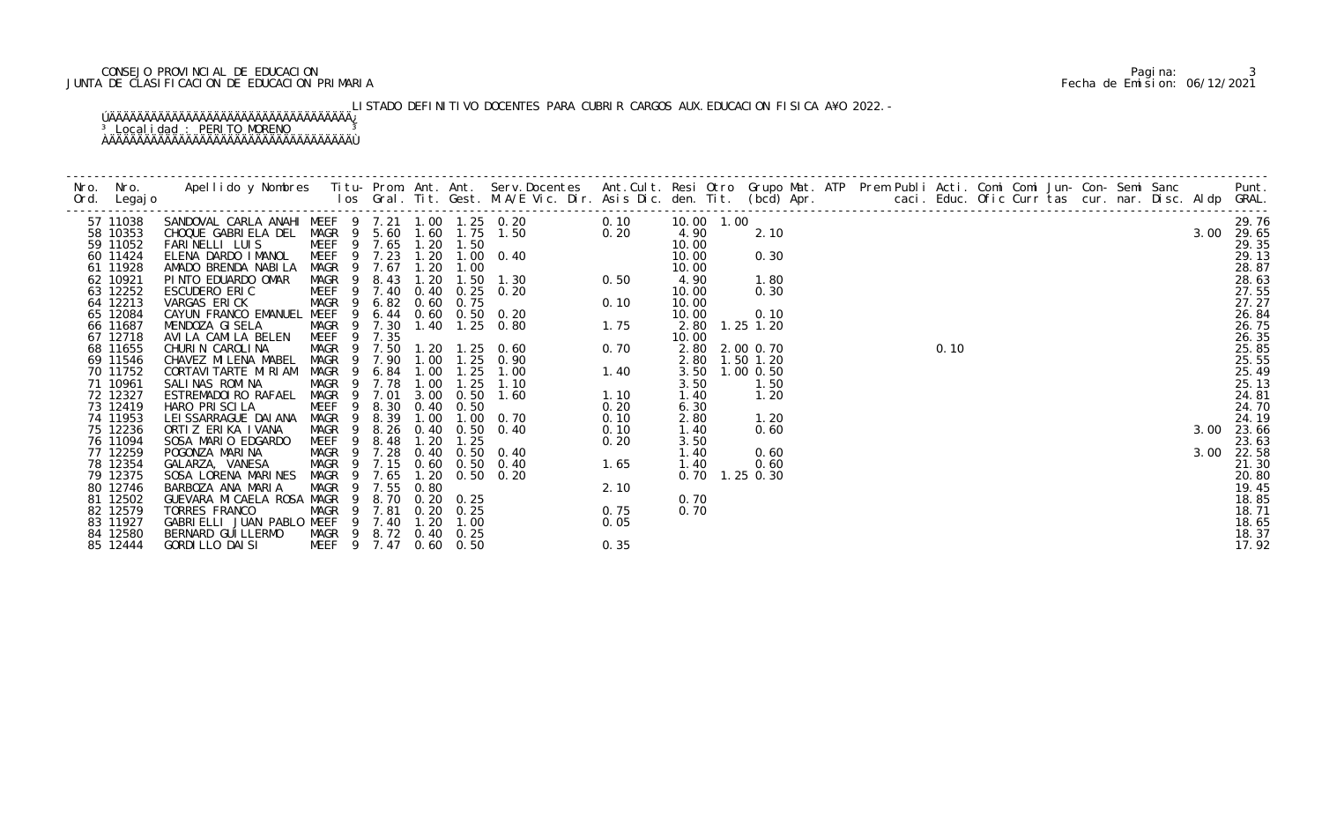## CONSEJO PROVINCIAL DE EDUCACION Pagina: 3 JUNTA DE CLASIFICACION DE EDUCACION PRIMARIA Fecha de Emision: 06/12/2021

# LISTADO DEFINITIVO DOCENTES PARA CUBRIR CARGOS AUX. EDUCACION FISICA A¥O 2022.-

### ÚÄÄÄÄÄÄÄÄÄÄÄÄÄÄÄÄÄÄÄÄÄÄÄÄÄÄÄÄÄÄÄÄÄÄÄ¿ <sup>3</sup> Localidad : PERITO MORENO <sup>3</sup> ÀÄÄÄÄÄÄÄÄÄÄÄÄÄÄÄÄÄÄÄÄÄÄÄÄÄÄÄÄÄÄÄÄÄÄÄÙ